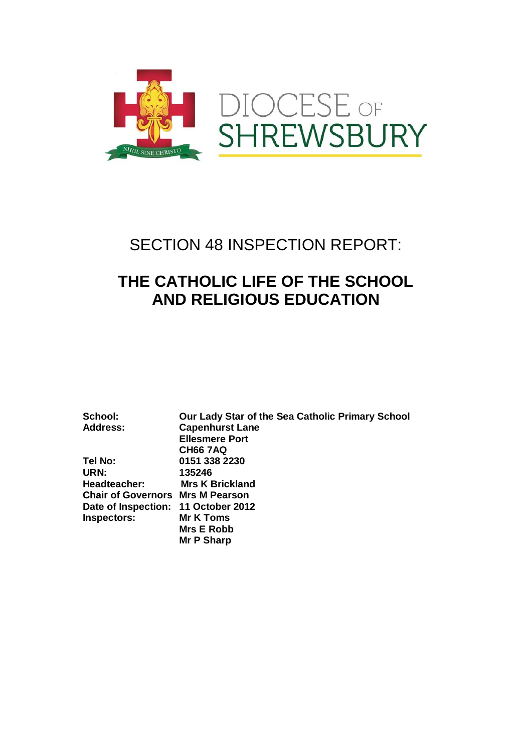

## SECTION 48 INSPECTION REPORT:

## **THE CATHOLIC LIFE OF THE SCHOOL AND RELIGIOUS EDUCATION**

**Inspectors:** 

**School: Our Lady Star of the Sea Catholic Primary School Capenhurst Lane Ellesmere Port CH66 7AQ**<br>**151 338 2** Tel No: **Tel No: 0151 338 2230 URN: 135246 Mrs K Brickland Chair of Governors Mrs M Pearson Date of Inspection: 11 October 2012 Mrs E Robb Mr P Sharp**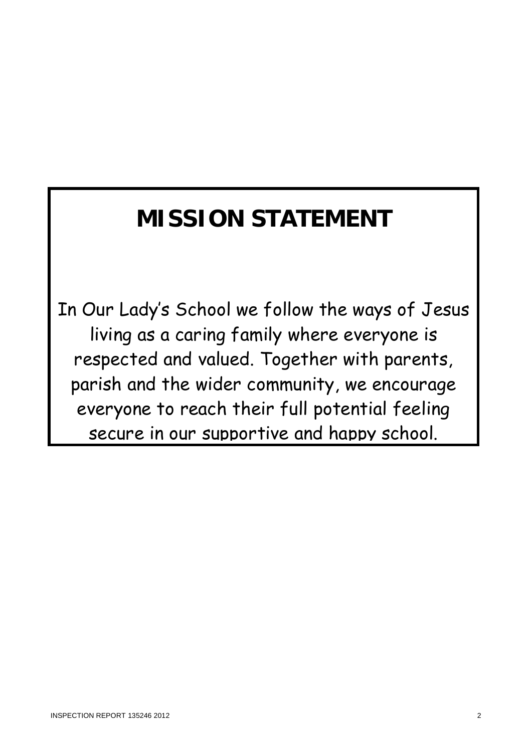# **MISSION STATEMENT**

In Our Lady's School we follow the ways of Jesus living as a caring family where everyone is respected and valued. Together with parents, parish and the wider community, we encourage everyone to reach their full potential feeling secure in our supportive and happy school.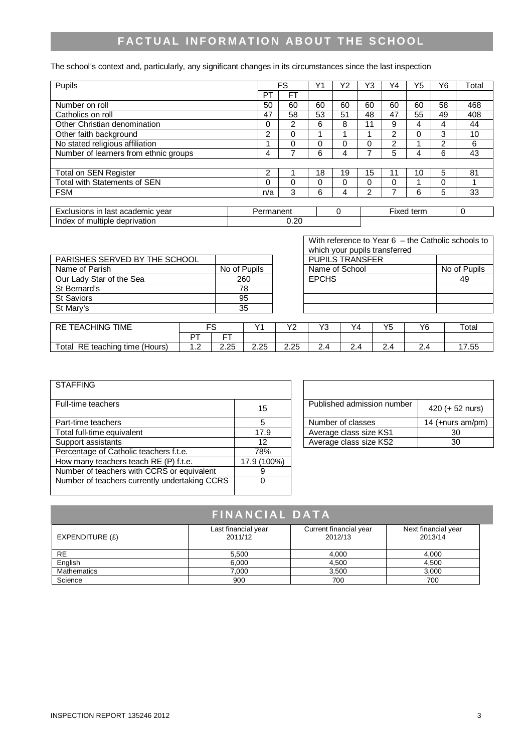### **FACTUAL INFORMATION ABOUT THE SCHOOL**

The school's context and, particularly, any significant changes in its circumstances since the last inspection

| Pupils                                |                       | FS        | Υ1       | Y2         | Y3       | Υ4            | Y5       | Υ6 | Total |
|---------------------------------------|-----------------------|-----------|----------|------------|----------|---------------|----------|----|-------|
|                                       | P1                    | <b>FT</b> |          |            |          |               |          |    |       |
| Number on roll                        | 50                    | 60        | 60       | 60         | 60       | 60            | 60       | 58 | 468   |
| Catholics on roll                     | 47                    | 58        | 53       | 51         | 48       | 47            | 55       | 49 | 408   |
| Other Christian denomination          | 0                     | 2         | 6        | 8          | 11       | 9             | 4        | 4  | 44    |
| Other faith background                | 2                     | $\Omega$  |          |            | 4        | 2             | $\Omega$ | 3  | 10    |
| No stated religious affiliation       |                       | $\Omega$  | $\Omega$ | 0          | 0        | $\mathcal{P}$ |          | 2  | 6     |
| Number of learners from ethnic groups | 4                     |           | 6        | 4          | 7        | 5             | 4        | 6  | 43    |
|                                       |                       |           |          |            |          |               |          |    |       |
| Total on SEN Register                 | 2                     |           | 18       | 19         | 15       | 11            | 10       | 5  | 81    |
| Total with Statements of SEN          | 0                     | $\Omega$  | $\Omega$ | 0          | $\Omega$ | $\Omega$      |          | 0  |       |
| <b>FSM</b>                            | n/a                   | 3         | 6        | 4          | 2        | ⇁             | 6        | 5  | 33    |
|                                       |                       |           |          |            |          |               |          |    |       |
| Exclusions in last academic year      | $\Omega$<br>Permanent |           |          | Fixed term |          | 0             |          |    |       |
| Index of multiple deprivation         |                       | 0.20      |          |            |          |               |          |    |       |

|                               |              | willoff your pupils transicitou |              |
|-------------------------------|--------------|---------------------------------|--------------|
| PARISHES SERVED BY THE SCHOOL |              | <b>PUPILS TRANSFER</b>          |              |
| Name of Parish                | No of Pupils | Name of School                  | No of Pupils |
| Our Lady Star of the Sea      | 260          | <b>EPCHS</b>                    | 49           |
| St Bernard's                  | 78           |                                 |              |
| <b>St Saviors</b>             | 95           |                                 |              |
| St Mary's                     | 35           |                                 |              |

| With reference to Year $6 -$ the Catholic schools to |              |  |  |  |
|------------------------------------------------------|--------------|--|--|--|
| which your pupils transferred                        |              |  |  |  |
| <b>PUPILS TRANSFER</b>                               |              |  |  |  |
| Name of School                                       | No of Pupils |  |  |  |
| <b>EPCHS</b>                                         | 49           |  |  |  |
|                                                      |              |  |  |  |
|                                                      |              |  |  |  |
|                                                      |              |  |  |  |
|                                                      |              |  |  |  |

| <b>TIME</b><br>.HING<br>$\sim$<br><sub>n</sub> -<br>۰A۲<br>ĸĿ<br>-<br>است | --       |      | $\sqrt{ }$ | $\sqrt{2}$   | $\sqrt{2}$ | \/ 1<br>۰4            | VE<br>w | VC<br>~ | $\tau$ otai  |
|---------------------------------------------------------------------------|----------|------|------------|--------------|------------|-----------------------|---------|---------|--------------|
|                                                                           | n.       | --   |            |              |            |                       |         |         |              |
| Total<br>RE<br>(Hours)<br>teaching<br>time (                              | $\cdots$ | 2.25 | つら<br>د.د. | つ つに<br>ں ے. | ⌒          | $\sqrt{ }$<br><u></u> |         |         | $ -$<br>7.55 |

| <b>STAFFING</b>                               |             |                            |                      |
|-----------------------------------------------|-------------|----------------------------|----------------------|
| Full-time teachers                            | 15          | Published admission number | $420 (+ 52$ nurs)    |
| Part-time teachers                            | 5           | Number of classes          | 14 ( $+$ nurs am/pm) |
| Total full-time equivalent                    | 17.9        | Average class size KS1     | 30                   |
| Support assistants                            | 12          | Average class size KS2     | 30                   |
| Percentage of Catholic teachers f.t.e.        | 78%         |                            |                      |
| How many teachers teach RE (P) f.t.e.         | 17.9 (100%) |                            |                      |
| Number of teachers with CCRS or equivalent    | 9           |                            |                      |
| Number of teachers currently undertaking CCRS | 0           |                            |                      |
|                                               |             |                            |                      |

| Published admission number | $420 (+ 52$ nurs)    |
|----------------------------|----------------------|
| Number of classes          | 14 ( $+$ nurs am/pm) |
| Average class size KS1     | 30                   |
| Average class size KS2     | חצ                   |

| <b>FINANCIAL DATA</b> |                                |                                   |                                |  |  |  |
|-----------------------|--------------------------------|-----------------------------------|--------------------------------|--|--|--|
| EXPENDITURE (E)       | Last financial year<br>2011/12 | Current financial year<br>2012/13 | Next financial year<br>2013/14 |  |  |  |
| <b>RE</b>             | 5,500                          | 4.000                             | 4,000                          |  |  |  |
| English               | 6,000                          | 4,500                             | 4,500                          |  |  |  |
| <b>Mathematics</b>    | 7.000                          | 3,500                             | 3,000                          |  |  |  |
| Science               | 900                            | 700                               | 700                            |  |  |  |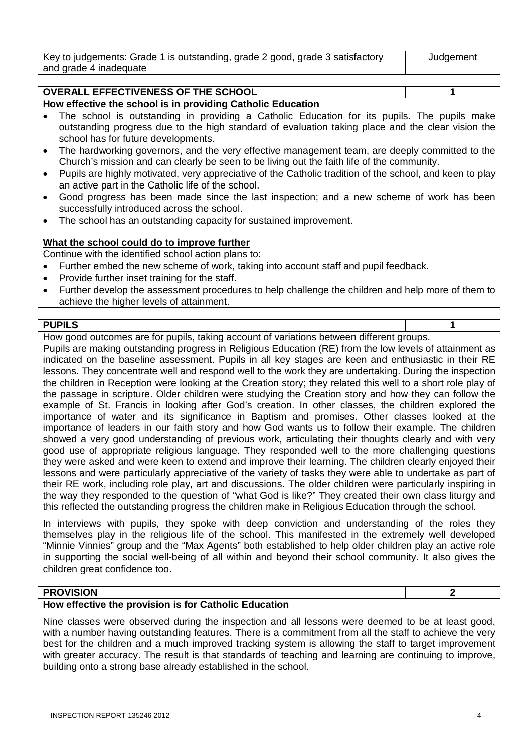| Key to judgements: Grade 1 is outstanding, grade 2 good, grade 3 satisfactory | Judgement |
|-------------------------------------------------------------------------------|-----------|
| and grade 4 inadequate                                                        |           |

#### **OVERALL EFFECTIVENESS OF THE SCHOOL 1**

#### **How effective the school is in providing Catholic Education**

- The school is outstanding in providing a Catholic Education for its pupils. The pupils make outstanding progress due to the high standard of evaluation taking place and the clear vision the school has for future developments.
- The hardworking governors, and the very effective management team, are deeply committed to the Church's mission and can clearly be seen to be living out the faith life of the community.
- Pupils are highly motivated, very appreciative of the Catholic tradition of the school, and keen to play an active part in the Catholic life of the school.
- Good progress has been made since the last inspection; and a new scheme of work has been successfully introduced across the school.
- The school has an outstanding capacity for sustained improvement.

#### **What the school could do to improve further**

Continue with the identified school action plans to:

- Further embed the new scheme of work, taking into account staff and pupil feedback.
- Provide further inset training for the staff.
- Further develop the assessment procedures to help challenge the children and help more of them to achieve the higher levels of attainment.

#### **PUPILS 1**

How good outcomes are for pupils, taking account of variations between different groups.

Pupils are making outstanding progress in Religious Education (RE) from the low levels of attainment as indicated on the baseline assessment. Pupils in all key stages are keen and enthusiastic in their RE lessons. They concentrate well and respond well to the work they are undertaking. During the inspection the children in Reception were looking at the Creation story; they related this well to a short role play of the passage in scripture. Older children were studying the Creation story and how they can follow the example of St. Francis in looking after God's creation. In other classes, the children explored the importance of water and its significance in Baptism and promises. Other classes looked at the importance of leaders in our faith story and how God wants us to follow their example. The children showed a very good understanding of previous work, articulating their thoughts clearly and with very good use of appropriate religious language. They responded well to the more challenging questions they were asked and were keen to extend and improve their learning. The children clearly enjoyed their lessons and were particularly appreciative of the variety of tasks they were able to undertake as part of their RE work, including role play, art and discussions. The older children were particularly inspiring in the way they responded to the question of "what God is like?" They created their own class liturgy and this reflected the outstanding progress the children make in Religious Education through the school.

In interviews with pupils, they spoke with deep conviction and understanding of the roles they themselves play in the religious life of the school. This manifested in the extremely well developed "Minnie Vinnies" group and the "Max Agents" both established to help older children play an active role in supporting the social well-being of all within and beyond their school community. It also gives the children great confidence too.

#### **PROVISION 2**

#### **How effective the provision is for Catholic Education**

Nine classes were observed during the inspection and all lessons were deemed to be at least good, with a number having outstanding features. There is a commitment from all the staff to achieve the very best for the children and a much improved tracking system is allowing the staff to target improvement with greater accuracy. The result is that standards of teaching and learning are continuing to improve, building onto a strong base already established in the school.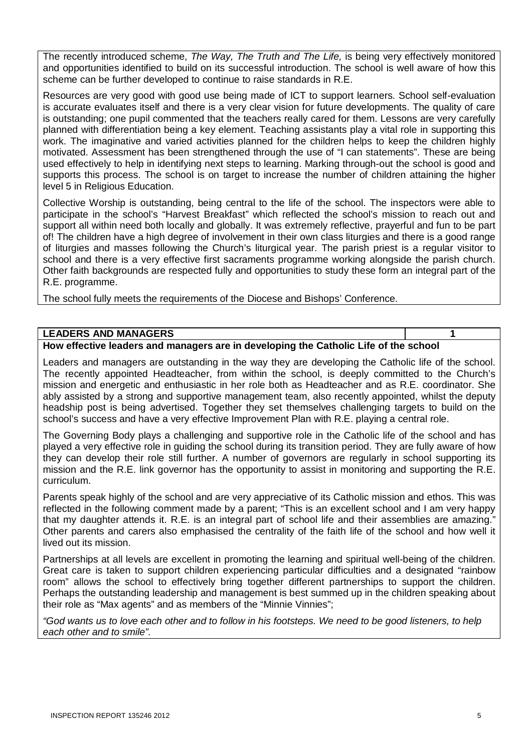The recently introduced scheme, *The Way, The Truth and The Life,* is being very effectively monitored and opportunities identified to build on its successful introduction. The school is well aware of how this scheme can be further developed to continue to raise standards in R.E.

Resources are very good with good use being made of ICT to support learners. School self-evaluation is accurate evaluates itself and there is a very clear vision for future developments. The quality of care is outstanding; one pupil commented that the teachers really cared for them. Lessons are very carefully planned with differentiation being a key element. Teaching assistants play a vital role in supporting this work. The imaginative and varied activities planned for the children helps to keep the children highly motivated. Assessment has been strengthened through the use of "I can statements". These are being used effectively to help in identifying next steps to learning. Marking through-out the school is good and supports this process. The school is on target to increase the number of children attaining the higher level 5 in Religious Education.

Collective Worship is outstanding, being central to the life of the school. The inspectors were able to participate in the school's "Harvest Breakfast" which reflected the school's mission to reach out and support all within need both locally and globally. It was extremely reflective, prayerful and fun to be part of! The children have a high degree of involvement in their own class liturgies and there is a good range of liturgies and masses following the Church's liturgical year. The parish priest is a regular visitor to school and there is a very effective first sacraments programme working alongside the parish church. Other faith backgrounds are respected fully and opportunities to study these form an integral part of the R.E. programme.

The school fully meets the requirements of the Diocese and Bishops' Conference.

#### **LEADERS AND MANAGERS 1**

**How effective leaders and managers are in developing the Catholic Life of the school**

Leaders and managers are outstanding in the way they are developing the Catholic life of the school. The recently appointed Headteacher, from within the school, is deeply committed to the Church's mission and energetic and enthusiastic in her role both as Headteacher and as R.E. coordinator. She ably assisted by a strong and supportive management team, also recently appointed, whilst the deputy headship post is being advertised. Together they set themselves challenging targets to build on the school's success and have a very effective Improvement Plan with R.E. playing a central role.

The Governing Body plays a challenging and supportive role in the Catholic life of the school and has played a very effective role in guiding the school during its transition period. They are fully aware of how they can develop their role still further. A number of governors are regularly in school supporting its mission and the R.E. link governor has the opportunity to assist in monitoring and supporting the R.E. curriculum.

Parents speak highly of the school and are very appreciative of its Catholic mission and ethos. This was reflected in the following comment made by a parent; "This is an excellent school and I am very happy that my daughter attends it. R.E. is an integral part of school life and their assemblies are amazing." Other parents and carers also emphasised the centrality of the faith life of the school and how well it lived out its mission.

Partnerships at all levels are excellent in promoting the learning and spiritual well-being of the children. Great care is taken to support children experiencing particular difficulties and a designated "rainbow room" allows the school to effectively bring together different partnerships to support the children. Perhaps the outstanding leadership and management is best summed up in the children speaking about their role as "Max agents" and as members of the "Minnie Vinnies";

*"God wants us to love each other and to follow in his footsteps. We need to be good listeners, to help each other and to smile".*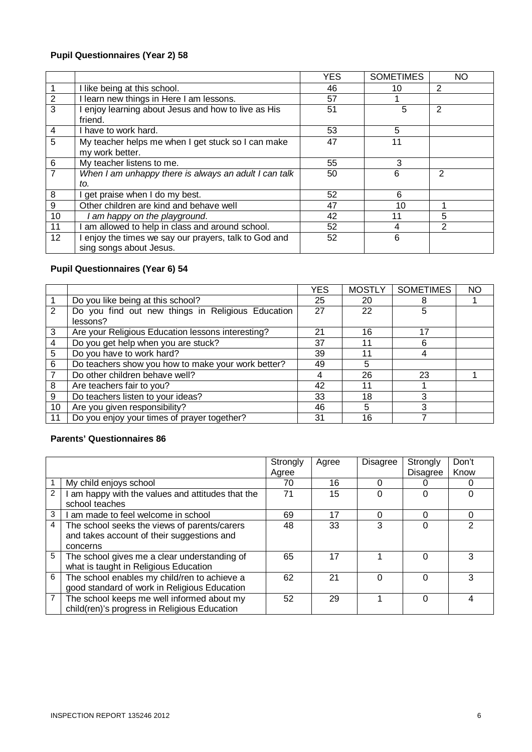#### **Pupil Questionnaires (Year 2) 58**

|                 |                                                       | YES | <b>SOMETIMES</b> | <b>NO</b> |
|-----------------|-------------------------------------------------------|-----|------------------|-----------|
|                 | I like being at this school.                          | 46  | 10               | 2         |
| $\overline{2}$  | I learn new things in Here I am lessons.              | 57  |                  |           |
| $\overline{3}$  | I enjoy learning about Jesus and how to live as His   | 51  | 5                | 2         |
|                 | friend.                                               |     |                  |           |
| $\overline{4}$  | I have to work hard.                                  | 53  | 5                |           |
| $\overline{5}$  | My teacher helps me when I get stuck so I can make    | 47  | 11               |           |
|                 | my work better.                                       |     |                  |           |
| $6\phantom{1}6$ | My teacher listens to me.                             | 55  | 3                |           |
| $\overline{7}$  | When I am unhappy there is always an adult I can talk | 50  | 6                | 2         |
|                 | to.                                                   |     |                  |           |
| 8               | I get praise when I do my best.                       | 52  | 6                |           |
| $\overline{9}$  | Other children are kind and behave well               | 47  | 10               |           |
| 10              | am happy on the playground.                           | 42  | 11               | 5         |
| 11              | am allowed to help in class and around school.        | 52  | 4                | 2         |
| 12 <sup>2</sup> | I enjoy the times we say our prayers, talk to God and | 52  | 6                |           |
|                 | sing songs about Jesus.                               |     |                  |           |

#### **Pupil Questionnaires (Year 6) 54**

|                |                                                               | <b>YES</b> | <b>MOSTLY</b> | <b>SOMETIMES</b> | <b>NO</b> |
|----------------|---------------------------------------------------------------|------------|---------------|------------------|-----------|
|                | Do you like being at this school?                             | 25         | 20            |                  |           |
| 2              | Do you find out new things in Religious Education<br>lessons? | 27         | 22            | 5                |           |
| 3              | Are your Religious Education lessons interesting?             | 21         | 16            | 17               |           |
| 4              | Do you get help when you are stuck?                           | 37         | 11            | 6                |           |
| 5              | Do you have to work hard?                                     | 39         | 11            |                  |           |
| 6              | Do teachers show you how to make your work better?            | 49         | 5             |                  |           |
| $\overline{7}$ | Do other children behave well?                                |            | 26            | 23               |           |
| 8              | Are teachers fair to you?                                     | 42         | 11            |                  |           |
| 9              | Do teachers listen to your ideas?                             | 33         | 18            | 3                |           |
| 10             | Are you given responsibility?                                 | 46         | 5             | 3                |           |
| 11             | Do you enjoy your times of prayer together?                   | 31         | 16            |                  |           |

#### **Parents' Questionnaires 86**

|               |                                                 | Strongly | Agree | Disagree | Strongly | Don't |
|---------------|-------------------------------------------------|----------|-------|----------|----------|-------|
|               |                                                 | Agree    |       |          | Disagree | Know  |
|               | My child enjoys school                          | 70       | 16    |          |          |       |
| $\mathcal{P}$ | am happy with the values and attitudes that the | 71       | 15    | 0        |          |       |
|               | school teaches                                  |          |       |          |          |       |
| 3             | I am made to feel welcome in school             | 69       | 17    | ი        |          | 0     |
| 4             | The school seeks the views of parents/carers    | 48       | 33    | 3        |          | 2     |
|               | and takes account of their suggestions and      |          |       |          |          |       |
|               | concerns                                        |          |       |          |          |       |
| 5             | The school gives me a clear understanding of    | 65       | 17    |          |          | 3     |
|               | what is taught in Religious Education           |          |       |          |          |       |
| 6             | The school enables my child/ren to achieve a    | 62       | 21    |          |          | 3     |
|               | good standard of work in Religious Education    |          |       |          |          |       |
| 7             | The school keeps me well informed about my      | 52       | 29    |          |          | 4     |
|               | child(ren)'s progress in Religious Education    |          |       |          |          |       |